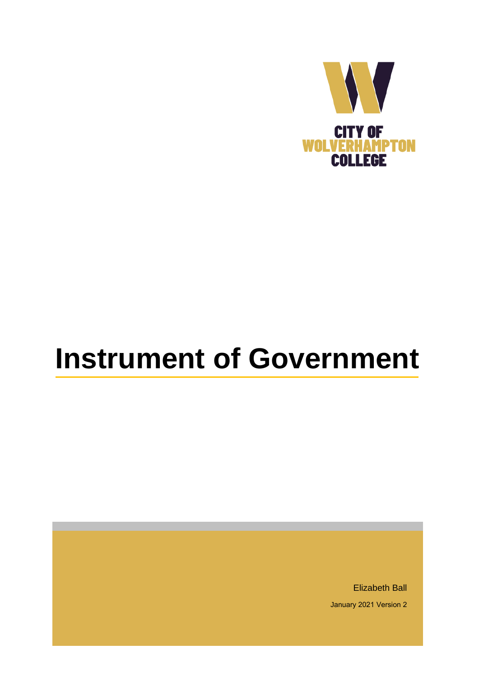

# **Instrument of Government**

Elizabeth Ball January 2021 Version 2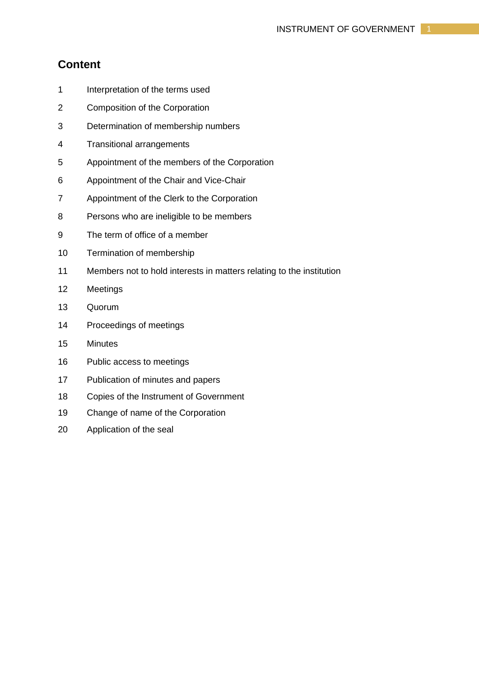# **Content**

- 1 Interpretation of the terms used
- 2 Composition of the Corporation
- 3 Determination of membership numbers
- 4 Transitional arrangements
- 5 Appointment of the members of the Corporation
- 6 Appointment of the Chair and Vice-Chair
- 7 Appointment of the Clerk to the Corporation
- 8 Persons who are ineligible to be members
- 9 The term of office of a member
- 10 Termination of membership
- 11 Members not to hold interests in matters relating to the institution
- 12 Meetings
- 13 Quorum
- 14 Proceedings of meetings
- 15 Minutes
- 16 Public access to meetings
- 17 Publication of minutes and papers
- 18 Copies of the Instrument of Government
- 19 Change of name of the Corporation
- 20 Application of the seal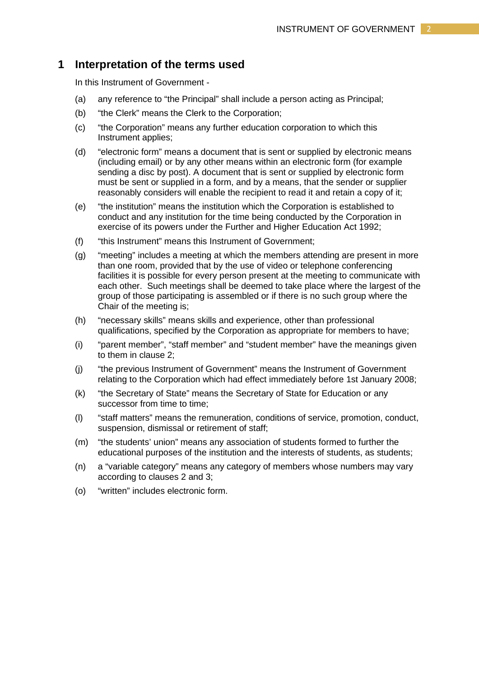#### **1 Interpretation of the terms used**

In this Instrument of Government -

- (a) any reference to "the Principal" shall include a person acting as Principal;
- (b) "the Clerk" means the Clerk to the Corporation;
- (c) "the Corporation" means any further education corporation to which this Instrument applies;
- (d) "electronic form" means a document that is sent or supplied by electronic means (including email) or by any other means within an electronic form (for example sending a disc by post). A document that is sent or supplied by electronic form must be sent or supplied in a form, and by a means, that the sender or supplier reasonably considers will enable the recipient to read it and retain a copy of it;
- (e) "the institution" means the institution which the Corporation is established to conduct and any institution for the time being conducted by the Corporation in exercise of its powers under the Further and Higher Education Act 1992;
- (f) "this Instrument" means this Instrument of Government;
- (g) "meeting" includes a meeting at which the members attending are present in more than one room, provided that by the use of video or telephone conferencing facilities it is possible for every person present at the meeting to communicate with each other. Such meetings shall be deemed to take place where the largest of the group of those participating is assembled or if there is no such group where the Chair of the meeting is;
- (h) "necessary skills" means skills and experience, other than professional qualifications, specified by the Corporation as appropriate for members to have;
- (i) "parent member", "staff member" and "student member" have the meanings given to them in clause 2;
- (j) "the previous Instrument of Government" means the Instrument of Government relating to the Corporation which had effect immediately before 1st January 2008;
- (k) "the Secretary of State" means the Secretary of State for Education or any successor from time to time:
- (l) "staff matters" means the remuneration, conditions of service, promotion, conduct, suspension, dismissal or retirement of staff;
- (m) "the students' union" means any association of students formed to further the educational purposes of the institution and the interests of students, as students;
- (n) a "variable category" means any category of members whose numbers may vary according to clauses 2 and 3;
- (o) "written" includes electronic form.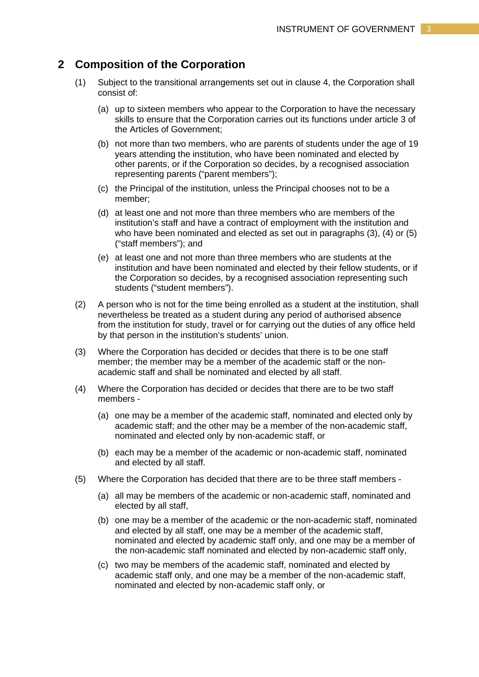## **2 Composition of the Corporation**

- (1) Subject to the transitional arrangements set out in clause 4, the Corporation shall consist of:
	- (a) up to sixteen members who appear to the Corporation to have the necessary skills to ensure that the Corporation carries out its functions under article 3 of the Articles of Government;
	- (b) not more than two members, who are parents of students under the age of 19 years attending the institution, who have been nominated and elected by other parents, or if the Corporation so decides, by a recognised association representing parents ("parent members");
	- (c) the Principal of the institution, unless the Principal chooses not to be a member;
	- (d) at least one and not more than three members who are members of the institution's staff and have a contract of employment with the institution and who have been nominated and elected as set out in paragraphs (3), (4) or (5) ("staff members"); and
	- (e) at least one and not more than three members who are students at the institution and have been nominated and elected by their fellow students, or if the Corporation so decides, by a recognised association representing such students ("student members").
- (2) A person who is not for the time being enrolled as a student at the institution, shall nevertheless be treated as a student during any period of authorised absence from the institution for study, travel or for carrying out the duties of any office held by that person in the institution's students' union.
- (3) Where the Corporation has decided or decides that there is to be one staff member; the member may be a member of the academic staff or the nonacademic staff and shall be nominated and elected by all staff.
- (4) Where the Corporation has decided or decides that there are to be two staff members -
	- (a) one may be a member of the academic staff, nominated and elected only by academic staff; and the other may be a member of the non-academic staff, nominated and elected only by non-academic staff, or
	- (b) each may be a member of the academic or non-academic staff, nominated and elected by all staff.
- (5) Where the Corporation has decided that there are to be three staff members
	- (a) all may be members of the academic or non-academic staff, nominated and elected by all staff,
	- (b) one may be a member of the academic or the non-academic staff, nominated and elected by all staff, one may be a member of the academic staff, nominated and elected by academic staff only, and one may be a member of the non-academic staff nominated and elected by non-academic staff only,
	- (c) two may be members of the academic staff, nominated and elected by academic staff only, and one may be a member of the non-academic staff, nominated and elected by non-academic staff only, or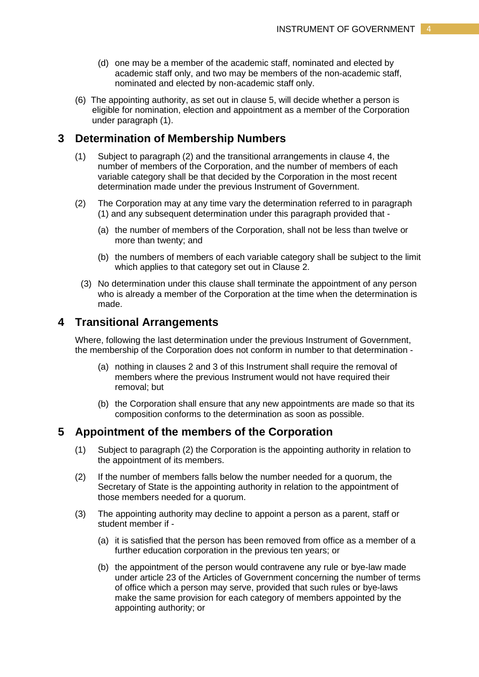- (d) one may be a member of the academic staff, nominated and elected by academic staff only, and two may be members of the non-academic staff, nominated and elected by non-academic staff only.
- (6) The appointing authority, as set out in clause 5, will decide whether a person is eligible for nomination, election and appointment as a member of the Corporation under paragraph (1).

## **3 Determination of Membership Numbers**

- (1) Subject to paragraph (2) and the transitional arrangements in clause 4, the number of members of the Corporation, and the number of members of each variable category shall be that decided by the Corporation in the most recent determination made under the previous Instrument of Government.
- (2) The Corporation may at any time vary the determination referred to in paragraph (1) and any subsequent determination under this paragraph provided that -
	- (a) the number of members of the Corporation, shall not be less than twelve or more than twenty; and
	- (b) the numbers of members of each variable category shall be subject to the limit which applies to that category set out in Clause 2.
	- (3) No determination under this clause shall terminate the appointment of any person who is already a member of the Corporation at the time when the determination is made.

# **4 Transitional Arrangements**

Where, following the last determination under the previous Instrument of Government, the membership of the Corporation does not conform in number to that determination -

- (a) nothing in clauses 2 and 3 of this Instrument shall require the removal of members where the previous Instrument would not have required their removal; but
- (b) the Corporation shall ensure that any new appointments are made so that its composition conforms to the determination as soon as possible.

# **5 Appointment of the members of the Corporation**

- (1) Subject to paragraph (2) the Corporation is the appointing authority in relation to the appointment of its members.
- (2) If the number of members falls below the number needed for a quorum, the Secretary of State is the appointing authority in relation to the appointment of those members needed for a quorum.
- (3) The appointing authority may decline to appoint a person as a parent, staff or student member if -
	- (a) it is satisfied that the person has been removed from office as a member of a further education corporation in the previous ten years; or
	- (b) the appointment of the person would contravene any rule or bye-law made under article 23 of the Articles of Government concerning the number of terms of office which a person may serve, provided that such rules or bye-laws make the same provision for each category of members appointed by the appointing authority; or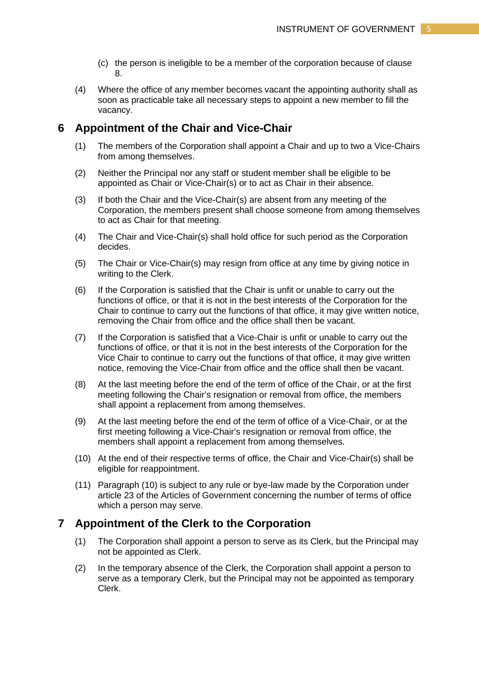- (c) the person is ineligible to be a member of the corporation because of clause 8.
- (4) Where the office of any member becomes vacant the appointing authority shall as soon as practicable take all necessary steps to appoint a new member to fill the vacancy.

# **6 Appointment of the Chair and Vice-Chair**

- (1) The members of the Corporation shall appoint a Chair and up to two a Vice-Chairs from among themselves.
- (2) Neither the Principal nor any staff or student member shall be eligible to be appointed as Chair or Vice-Chair(s) or to act as Chair in their absence.
- (3) If both the Chair and the Vice-Chair(s) are absent from any meeting of the Corporation, the members present shall choose someone from among themselves to act as Chair for that meeting.
- (4) The Chair and Vice-Chair(s) shall hold office for such period as the Corporation decides.
- (5) The Chair or Vice-Chair(s) may resign from office at any time by giving notice in writing to the Clerk.
- (6) If the Corporation is satisfied that the Chair is unfit or unable to carry out the functions of office, or that it is not in the best interests of the Corporation for the Chair to continue to carry out the functions of that office, it may give written notice, removing the Chair from office and the office shall then be vacant.
- (7) If the Corporation is satisfied that a Vice-Chair is unfit or unable to carry out the functions of office, or that it is not in the best interests of the Corporation for the Vice Chair to continue to carry out the functions of that office, it may give written notice, removing the Vice-Chair from office and the office shall then be vacant.
- (8) At the last meeting before the end of the term of office of the Chair, or at the first meeting following the Chair's resignation or removal from office, the members shall appoint a replacement from among themselves.
- (9) At the last meeting before the end of the term of office of a Vice-Chair, or at the first meeting following a Vice-Chair's resignation or removal from office, the members shall appoint a replacement from among themselves.
- (10) At the end of their respective terms of office, the Chair and Vice-Chair(s) shall be eligible for reappointment.
- (11) Paragraph (10) is subject to any rule or bye-law made by the Corporation under article 23 of the Articles of Government concerning the number of terms of office which a person may serve.

# **7 Appointment of the Clerk to the Corporation**

- (1) The Corporation shall appoint a person to serve as its Clerk, but the Principal may not be appointed as Clerk.
- (2) In the temporary absence of the Clerk, the Corporation shall appoint a person to serve as a temporary Clerk, but the Principal may not be appointed as temporary Clerk.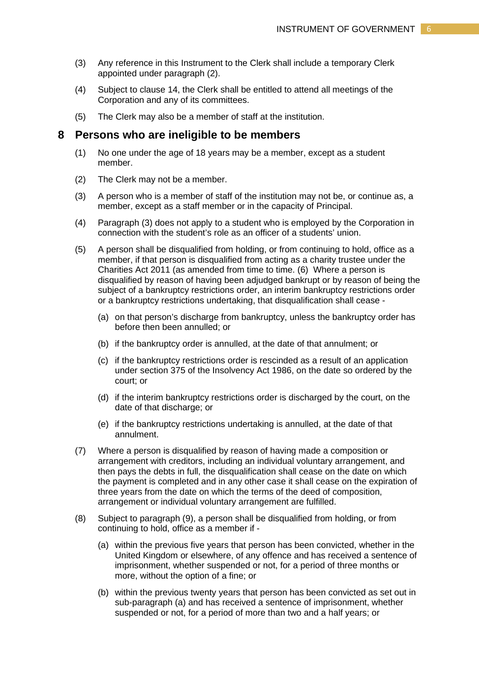- (3) Any reference in this Instrument to the Clerk shall include a temporary Clerk appointed under paragraph (2).
- (4) Subject to clause 14, the Clerk shall be entitled to attend all meetings of the Corporation and any of its committees.
- (5) The Clerk may also be a member of staff at the institution.

#### **8 Persons who are ineligible to be members**

- (1) No one under the age of 18 years may be a member, except as a student member.
- (2) The Clerk may not be a member.
- (3) A person who is a member of staff of the institution may not be, or continue as, a member, except as a staff member or in the capacity of Principal.
- (4) Paragraph (3) does not apply to a student who is employed by the Corporation in connection with the student's role as an officer of a students' union.
- (5) A person shall be disqualified from holding, or from continuing to hold, office as a member, if that person is disqualified from acting as a charity trustee under the Charities Act 2011 (as amended from time to time. (6) Where a person is disqualified by reason of having been adjudged bankrupt or by reason of being the subject of a bankruptcy restrictions order, an interim bankruptcy restrictions order or a bankruptcy restrictions undertaking, that disqualification shall cease -
	- (a) on that person's discharge from bankruptcy, unless the bankruptcy order has before then been annulled; or
	- (b) if the bankruptcy order is annulled, at the date of that annulment; or
	- (c) if the bankruptcy restrictions order is rescinded as a result of an application under section 375 of the Insolvency Act 1986, on the date so ordered by the court; or
	- (d) if the interim bankruptcy restrictions order is discharged by the court, on the date of that discharge; or
	- (e) if the bankruptcy restrictions undertaking is annulled, at the date of that annulment.
- (7) Where a person is disqualified by reason of having made a composition or arrangement with creditors, including an individual voluntary arrangement, and then pays the debts in full, the disqualification shall cease on the date on which the payment is completed and in any other case it shall cease on the expiration of three years from the date on which the terms of the deed of composition, arrangement or individual voluntary arrangement are fulfilled.
- (8) Subject to paragraph (9), a person shall be disqualified from holding, or from continuing to hold, office as a member if -
	- (a) within the previous five years that person has been convicted, whether in the United Kingdom or elsewhere, of any offence and has received a sentence of imprisonment, whether suspended or not, for a period of three months or more, without the option of a fine; or
	- (b) within the previous twenty years that person has been convicted as set out in sub-paragraph (a) and has received a sentence of imprisonment, whether suspended or not, for a period of more than two and a half years; or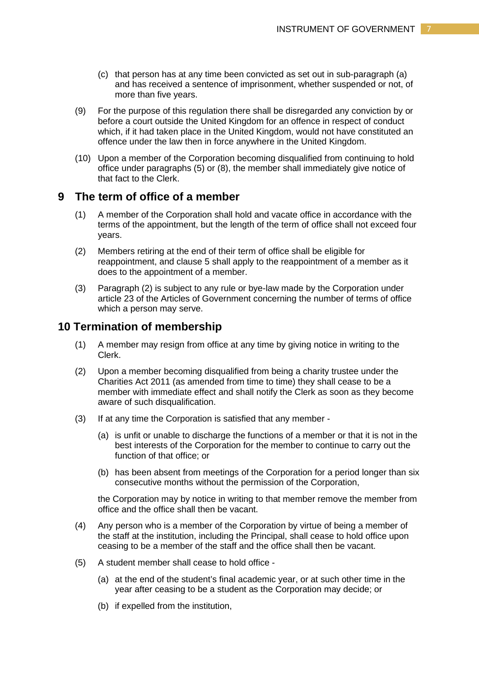- (c) that person has at any time been convicted as set out in sub-paragraph (a) and has received a sentence of imprisonment, whether suspended or not, of more than five years.
- (9) For the purpose of this regulation there shall be disregarded any conviction by or before a court outside the United Kingdom for an offence in respect of conduct which, if it had taken place in the United Kingdom, would not have constituted an offence under the law then in force anywhere in the United Kingdom.
- (10) Upon a member of the Corporation becoming disqualified from continuing to hold office under paragraphs (5) or (8), the member shall immediately give notice of that fact to the Clerk.

# **9 The term of office of a member**

- (1) A member of the Corporation shall hold and vacate office in accordance with the terms of the appointment, but the length of the term of office shall not exceed four years.
- (2) Members retiring at the end of their term of office shall be eligible for reappointment, and clause 5 shall apply to the reappointment of a member as it does to the appointment of a member.
- (3) Paragraph (2) is subject to any rule or bye-law made by the Corporation under article 23 of the Articles of Government concerning the number of terms of office which a person may serve.

# **10 Termination of membership**

- (1) A member may resign from office at any time by giving notice in writing to the Clerk.
- (2) Upon a member becoming disqualified from being a charity trustee under the Charities Act 2011 (as amended from time to time) they shall cease to be a member with immediate effect and shall notify the Clerk as soon as they become aware of such disqualification.
- (3) If at any time the Corporation is satisfied that any member
	- (a) is unfit or unable to discharge the functions of a member or that it is not in the best interests of the Corporation for the member to continue to carry out the function of that office; or
	- (b) has been absent from meetings of the Corporation for a period longer than six consecutive months without the permission of the Corporation,

the Corporation may by notice in writing to that member remove the member from office and the office shall then be vacant.

- (4) Any person who is a member of the Corporation by virtue of being a member of the staff at the institution, including the Principal, shall cease to hold office upon ceasing to be a member of the staff and the office shall then be vacant.
- (5) A student member shall cease to hold office
	- (a) at the end of the student's final academic year, or at such other time in the year after ceasing to be a student as the Corporation may decide; or
	- (b) if expelled from the institution,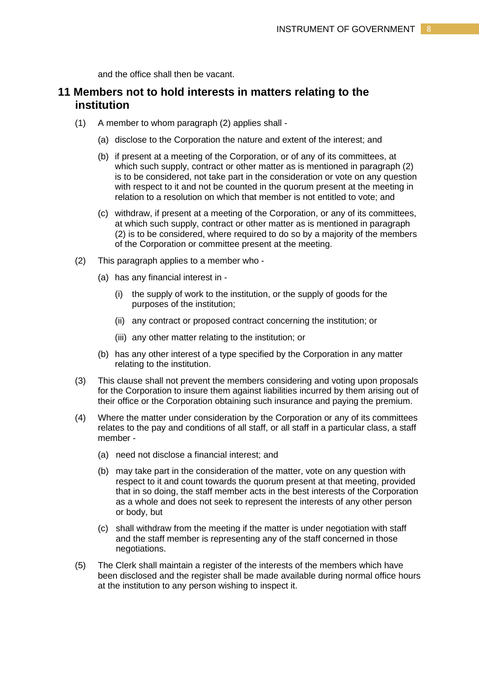and the office shall then be vacant.

# **11 Members not to hold interests in matters relating to the institution**

- (1) A member to whom paragraph (2) applies shall
	- (a) disclose to the Corporation the nature and extent of the interest; and
	- (b) if present at a meeting of the Corporation, or of any of its committees, at which such supply, contract or other matter as is mentioned in paragraph (2) is to be considered, not take part in the consideration or vote on any question with respect to it and not be counted in the quorum present at the meeting in relation to a resolution on which that member is not entitled to vote; and
	- (c) withdraw, if present at a meeting of the Corporation, or any of its committees, at which such supply, contract or other matter as is mentioned in paragraph (2) is to be considered, where required to do so by a majority of the members of the Corporation or committee present at the meeting.
- (2) This paragraph applies to a member who
	- (a) has any financial interest in
		- (i) the supply of work to the institution, or the supply of goods for the purposes of the institution;
		- (ii) any contract or proposed contract concerning the institution; or
		- (iii) any other matter relating to the institution; or
	- (b) has any other interest of a type specified by the Corporation in any matter relating to the institution.
- (3) This clause shall not prevent the members considering and voting upon proposals for the Corporation to insure them against liabilities incurred by them arising out of their office or the Corporation obtaining such insurance and paying the premium.
- (4) Where the matter under consideration by the Corporation or any of its committees relates to the pay and conditions of all staff, or all staff in a particular class, a staff member -
	- (a) need not disclose a financial interest; and
	- (b) may take part in the consideration of the matter, vote on any question with respect to it and count towards the quorum present at that meeting, provided that in so doing, the staff member acts in the best interests of the Corporation as a whole and does not seek to represent the interests of any other person or body, but
	- (c) shall withdraw from the meeting if the matter is under negotiation with staff and the staff member is representing any of the staff concerned in those negotiations.
- (5) The Clerk shall maintain a register of the interests of the members which have been disclosed and the register shall be made available during normal office hours at the institution to any person wishing to inspect it.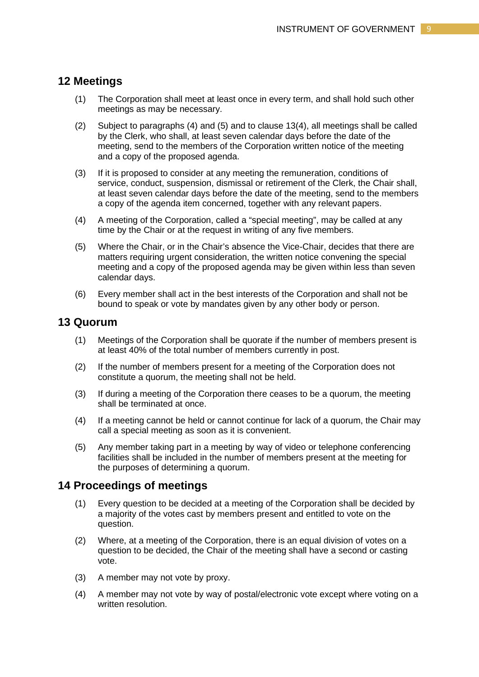# **12 Meetings**

- (1) The Corporation shall meet at least once in every term, and shall hold such other meetings as may be necessary.
- (2) Subject to paragraphs (4) and (5) and to clause 13(4), all meetings shall be called by the Clerk, who shall, at least seven calendar days before the date of the meeting, send to the members of the Corporation written notice of the meeting and a copy of the proposed agenda.
- (3) If it is proposed to consider at any meeting the remuneration, conditions of service, conduct, suspension, dismissal or retirement of the Clerk, the Chair shall, at least seven calendar days before the date of the meeting, send to the members a copy of the agenda item concerned, together with any relevant papers.
- (4) A meeting of the Corporation, called a "special meeting", may be called at any time by the Chair or at the request in writing of any five members.
- (5) Where the Chair, or in the Chair's absence the Vice-Chair, decides that there are matters requiring urgent consideration, the written notice convening the special meeting and a copy of the proposed agenda may be given within less than seven calendar days.
- (6) Every member shall act in the best interests of the Corporation and shall not be bound to speak or vote by mandates given by any other body or person.

## **13 Quorum**

- (1) Meetings of the Corporation shall be quorate if the number of members present is at least 40% of the total number of members currently in post.
- (2) If the number of members present for a meeting of the Corporation does not constitute a quorum, the meeting shall not be held.
- (3) If during a meeting of the Corporation there ceases to be a quorum, the meeting shall be terminated at once.
- (4) If a meeting cannot be held or cannot continue for lack of a quorum, the Chair may call a special meeting as soon as it is convenient.
- (5) Any member taking part in a meeting by way of video or telephone conferencing facilities shall be included in the number of members present at the meeting for the purposes of determining a quorum.

#### **14 Proceedings of meetings**

- (1) Every question to be decided at a meeting of the Corporation shall be decided by a majority of the votes cast by members present and entitled to vote on the question.
- (2) Where, at a meeting of the Corporation, there is an equal division of votes on a question to be decided, the Chair of the meeting shall have a second or casting vote.
- (3) A member may not vote by proxy.
- (4) A member may not vote by way of postal/electronic vote except where voting on a written resolution.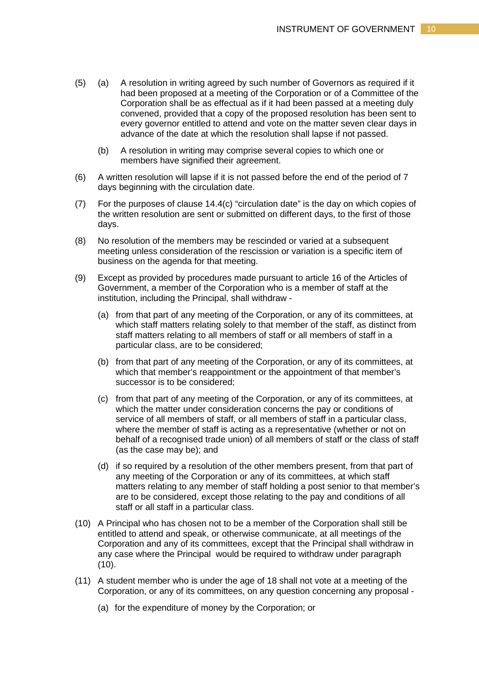- (5) (a) A resolution in writing agreed by such number of Governors as required if it had been proposed at a meeting of the Corporation or of a Committee of the Corporation shall be as effectual as if it had been passed at a meeting duly convened, provided that a copy of the proposed resolution has been sent to every governor entitled to attend and vote on the matter seven clear days in advance of the date at which the resolution shall lapse if not passed.
	- (b) A resolution in writing may comprise several copies to which one or members have signified their agreement.
- (6) A written resolution will lapse if it is not passed before the end of the period of 7 days beginning with the circulation date.
- (7) For the purposes of clause 14.4(c) "circulation date" is the day on which copies of the written resolution are sent or submitted on different days, to the first of those days.
- (8) No resolution of the members may be rescinded or varied at a subsequent meeting unless consideration of the rescission or variation is a specific item of business on the agenda for that meeting.
- (9) Except as provided by procedures made pursuant to article 16 of the Articles of Government, a member of the Corporation who is a member of staff at the institution, including the Principal, shall withdraw -
	- (a) from that part of any meeting of the Corporation, or any of its committees, at which staff matters relating solely to that member of the staff, as distinct from staff matters relating to all members of staff or all members of staff in a particular class, are to be considered;
	- (b) from that part of any meeting of the Corporation, or any of its committees, at which that member's reappointment or the appointment of that member's successor is to be considered;
	- (c) from that part of any meeting of the Corporation, or any of its committees, at which the matter under consideration concerns the pay or conditions of service of all members of staff, or all members of staff in a particular class, where the member of staff is acting as a representative (whether or not on behalf of a recognised trade union) of all members of staff or the class of staff (as the case may be); and
	- (d) if so required by a resolution of the other members present, from that part of any meeting of the Corporation or any of its committees, at which staff matters relating to any member of staff holding a post senior to that member's are to be considered, except those relating to the pay and conditions of all staff or all staff in a particular class.
- (10) A Principal who has chosen not to be a member of the Corporation shall still be entitled to attend and speak, or otherwise communicate, at all meetings of the Corporation and any of its committees, except that the Principal shall withdraw in any case where the Principal would be required to withdraw under paragraph (10).
- (11) A student member who is under the age of 18 shall not vote at a meeting of the Corporation, or any of its committees, on any question concerning any proposal -
	- (a) for the expenditure of money by the Corporation; or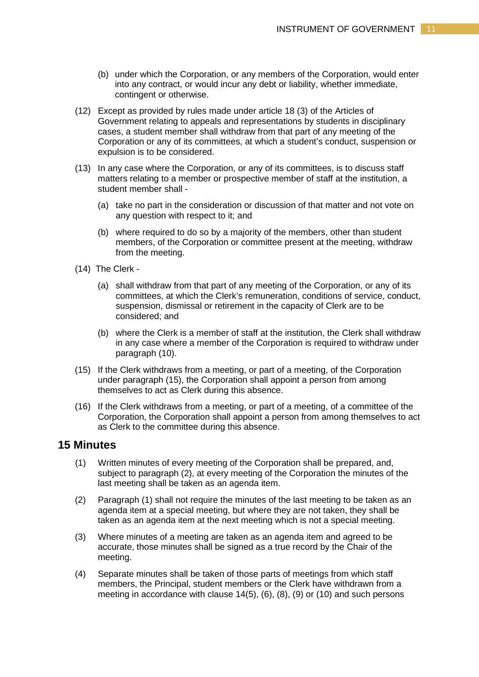- (b) under which the Corporation, or any members of the Corporation, would enter into any contract, or would incur any debt or liability, whether immediate, contingent or otherwise.
- (12) Except as provided by rules made under article 18 (3) of the Articles of Government relating to appeals and representations by students in disciplinary cases, a student member shall withdraw from that part of any meeting of the Corporation or any of its committees, at which a student's conduct, suspension or expulsion is to be considered.
- (13) In any case where the Corporation, or any of its committees, is to discuss staff matters relating to a member or prospective member of staff at the institution, a student member shall -
	- (a) take no part in the consideration or discussion of that matter and not vote on any question with respect to it; and
	- (b) where required to do so by a majority of the members, other than student members, of the Corporation or committee present at the meeting, withdraw from the meeting.
- (14) The Clerk
	- (a) shall withdraw from that part of any meeting of the Corporation, or any of its committees, at which the Clerk's remuneration, conditions of service, conduct, suspension, dismissal or retirement in the capacity of Clerk are to be considered; and
	- (b) where the Clerk is a member of staff at the institution, the Clerk shall withdraw in any case where a member of the Corporation is required to withdraw under paragraph (10).
- (15) If the Clerk withdraws from a meeting, or part of a meeting, of the Corporation under paragraph (15), the Corporation shall appoint a person from among themselves to act as Clerk during this absence.
- (16) If the Clerk withdraws from a meeting, or part of a meeting, of a committee of the Corporation, the Corporation shall appoint a person from among themselves to act as Clerk to the committee during this absence.

## **15 Minutes**

- (1) Written minutes of every meeting of the Corporation shall be prepared, and, subject to paragraph (2), at every meeting of the Corporation the minutes of the last meeting shall be taken as an agenda item.
- (2) Paragraph (1) shall not require the minutes of the last meeting to be taken as an agenda item at a special meeting, but where they are not taken, they shall be taken as an agenda item at the next meeting which is not a special meeting.
- (3) Where minutes of a meeting are taken as an agenda item and agreed to be accurate, those minutes shall be signed as a true record by the Chair of the meeting.
- (4) Separate minutes shall be taken of those parts of meetings from which staff members, the Principal, student members or the Clerk have withdrawn from a meeting in accordance with clause 14(5), (6), (8), (9) or (10) and such persons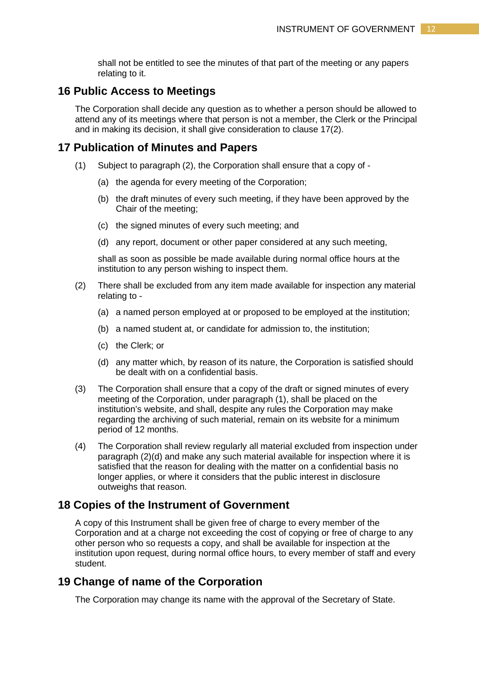shall not be entitled to see the minutes of that part of the meeting or any papers relating to it.

## **16 Public Access to Meetings**

The Corporation shall decide any question as to whether a person should be allowed to attend any of its meetings where that person is not a member, the Clerk or the Principal and in making its decision, it shall give consideration to clause 17(2).

## **17 Publication of Minutes and Papers**

- (1) Subject to paragraph (2), the Corporation shall ensure that a copy of
	- (a) the agenda for every meeting of the Corporation;
	- (b) the draft minutes of every such meeting, if they have been approved by the Chair of the meeting;
	- (c) the signed minutes of every such meeting; and
	- (d) any report, document or other paper considered at any such meeting,

shall as soon as possible be made available during normal office hours at the institution to any person wishing to inspect them.

- (2) There shall be excluded from any item made available for inspection any material relating to -
	- (a) a named person employed at or proposed to be employed at the institution;
	- (b) a named student at, or candidate for admission to, the institution;
	- (c) the Clerk; or
	- (d) any matter which, by reason of its nature, the Corporation is satisfied should be dealt with on a confidential basis.
- (3) The Corporation shall ensure that a copy of the draft or signed minutes of every meeting of the Corporation, under paragraph (1), shall be placed on the institution's website, and shall, despite any rules the Corporation may make regarding the archiving of such material, remain on its website for a minimum period of 12 months.
- (4) The Corporation shall review regularly all material excluded from inspection under paragraph (2)(d) and make any such material available for inspection where it is satisfied that the reason for dealing with the matter on a confidential basis no longer applies, or where it considers that the public interest in disclosure outweighs that reason.

### **18 Copies of the Instrument of Government**

A copy of this Instrument shall be given free of charge to every member of the Corporation and at a charge not exceeding the cost of copying or free of charge to any other person who so requests a copy, and shall be available for inspection at the institution upon request, during normal office hours, to every member of staff and every student.

## **19 Change of name of the Corporation**

The Corporation may change its name with the approval of the Secretary of State.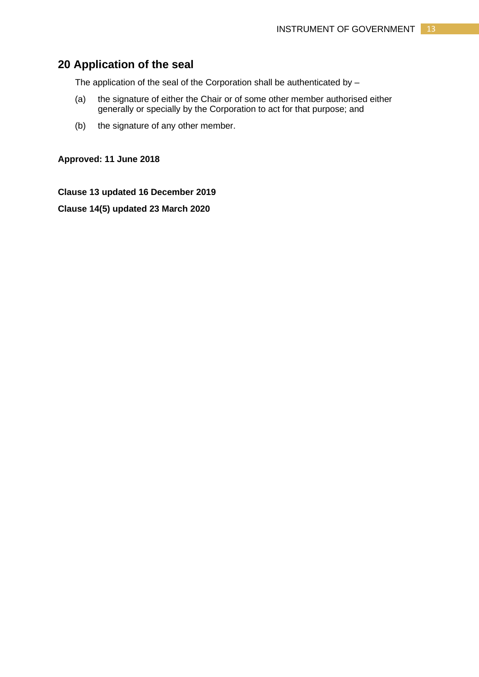# **20 Application of the seal**

The application of the seal of the Corporation shall be authenticated by –

- (a) the signature of either the Chair or of some other member authorised either generally or specially by the Corporation to act for that purpose; and
- (b) the signature of any other member.

**Approved: 11 June 2018**

**Clause 13 updated 16 December 2019**

**Clause 14(5) updated 23 March 2020**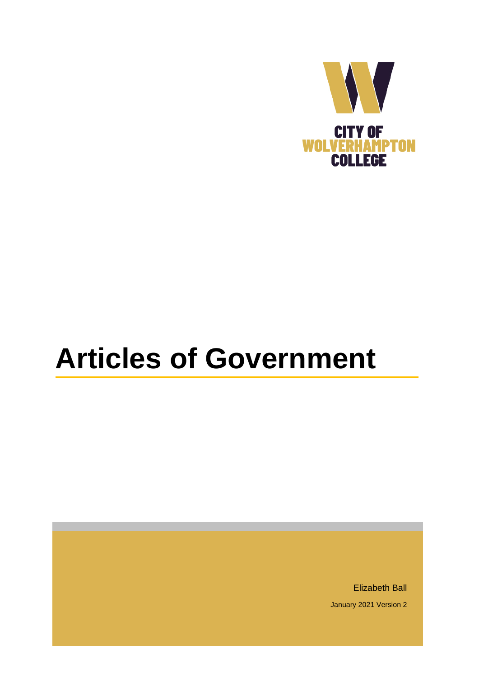

# **Articles of Government**

Elizabeth Ball January 2021 Version 2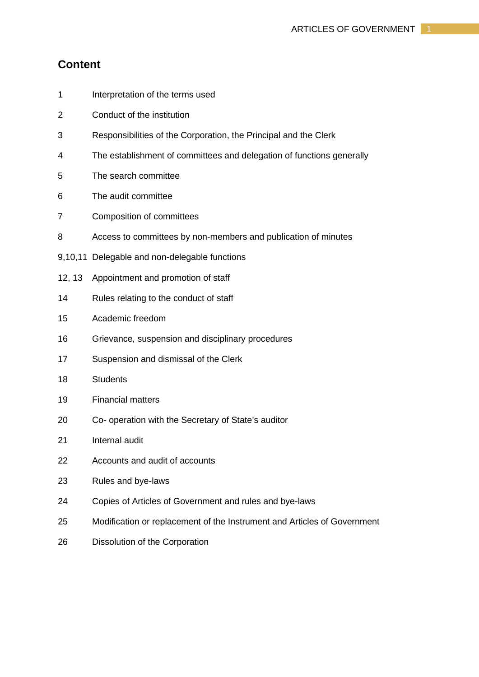# **Content**

- 1 Interpretation of the terms used
- 2 Conduct of the institution
- 3 Responsibilities of the Corporation, the Principal and the Clerk
- 4 The establishment of committees and delegation of functions generally
- 5 The search committee
- 6 The audit committee
- 7 Composition of committees
- 8 Access to committees by non-members and publication of minutes
- 9,10,11 Delegable and non-delegable functions
- 12, 13 Appointment and promotion of staff
- 14 Rules relating to the conduct of staff
- 15 Academic freedom
- 16 Grievance, suspension and disciplinary procedures
- 17 Suspension and dismissal of the Clerk
- 18 Students
- 19 Financial matters
- 20 Co- operation with the Secretary of State's auditor
- 21 Internal audit
- 22 Accounts and audit of accounts
- 23 Rules and bye-laws
- 24 Copies of Articles of Government and rules and bye-laws
- 25 Modification or replacement of the Instrument and Articles of Government
- 26 Dissolution of the Corporation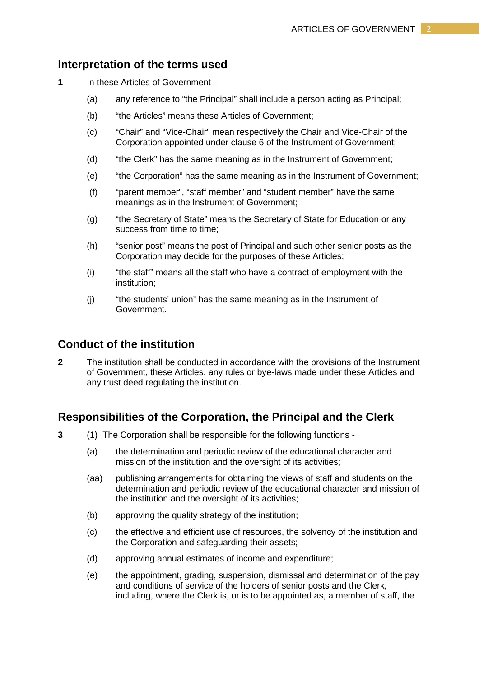## **Interpretation of the terms used**

- **1** In these Articles of Government
	- (a) any reference to "the Principal" shall include a person acting as Principal;
	- (b) "the Articles" means these Articles of Government;
	- (c) "Chair" and "Vice-Chair" mean respectively the Chair and Vice-Chair of the Corporation appointed under clause 6 of the Instrument of Government;
	- (d) "the Clerk" has the same meaning as in the Instrument of Government;
	- (e) "the Corporation" has the same meaning as in the Instrument of Government;
	- (f) "parent member", "staff member" and "student member" have the same meanings as in the Instrument of Government;
	- (g) "the Secretary of State" means the Secretary of State for Education or any success from time to time:
	- (h) "senior post" means the post of Principal and such other senior posts as the Corporation may decide for the purposes of these Articles;
	- (i) "the staff" means all the staff who have a contract of employment with the institution;
	- (j) "the students' union" has the same meaning as in the Instrument of Government.

# **Conduct of the institution**

**2** The institution shall be conducted in accordance with the provisions of the Instrument of Government, these Articles, any rules or bye-laws made under these Articles and any trust deed regulating the institution.

## **Responsibilities of the Corporation, the Principal and the Clerk**

- **3** (1) The Corporation shall be responsible for the following functions
	- (a) the determination and periodic review of the educational character and mission of the institution and the oversight of its activities;
	- (aa) publishing arrangements for obtaining the views of staff and students on the determination and periodic review of the educational character and mission of the institution and the oversight of its activities;
	- (b) approving the quality strategy of the institution;
	- (c) the effective and efficient use of resources, the solvency of the institution and the Corporation and safeguarding their assets;
	- (d) approving annual estimates of income and expenditure;
	- (e) the appointment, grading, suspension, dismissal and determination of the pay and conditions of service of the holders of senior posts and the Clerk, including, where the Clerk is, or is to be appointed as, a member of staff, the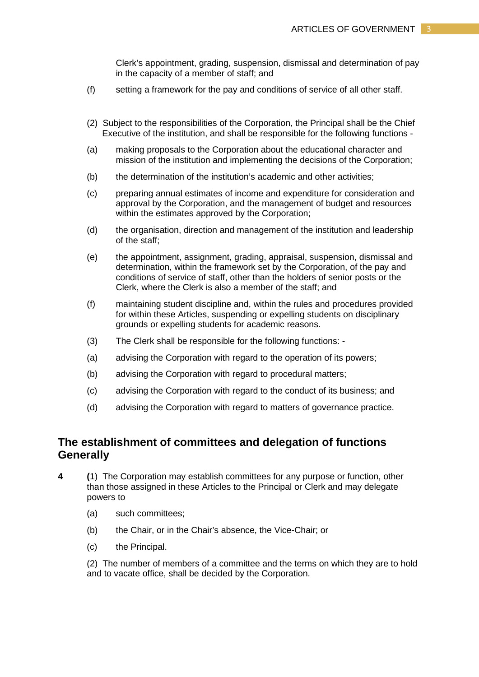Clerk's appointment, grading, suspension, dismissal and determination of pay in the capacity of a member of staff; and

- (f) setting a framework for the pay and conditions of service of all other staff.
- (2) Subject to the responsibilities of the Corporation, the Principal shall be the Chief Executive of the institution, and shall be responsible for the following functions -
- (a) making proposals to the Corporation about the educational character and mission of the institution and implementing the decisions of the Corporation;
- (b) the determination of the institution's academic and other activities;
- (c) preparing annual estimates of income and expenditure for consideration and approval by the Corporation, and the management of budget and resources within the estimates approved by the Corporation;
- (d) the organisation, direction and management of the institution and leadership of the staff;
- (e) the appointment, assignment, grading, appraisal, suspension, dismissal and determination, within the framework set by the Corporation, of the pay and conditions of service of staff, other than the holders of senior posts or the Clerk, where the Clerk is also a member of the staff; and
- (f) maintaining student discipline and, within the rules and procedures provided for within these Articles, suspending or expelling students on disciplinary grounds or expelling students for academic reasons.
- (3) The Clerk shall be responsible for the following functions: -
- (a) advising the Corporation with regard to the operation of its powers;
- (b) advising the Corporation with regard to procedural matters;
- (c) advising the Corporation with regard to the conduct of its business; and
- (d) advising the Corporation with regard to matters of governance practice.

# **The establishment of committees and delegation of functions Generally**

- **4 (**1) The Corporation may establish committees for any purpose or function, other than those assigned in these Articles to the Principal or Clerk and may delegate powers to
	- (a) such committees;
	- (b) the Chair, or in the Chair's absence, the Vice-Chair; or
	- (c) the Principal.

(2) The number of members of a committee and the terms on which they are to hold and to vacate office, shall be decided by the Corporation.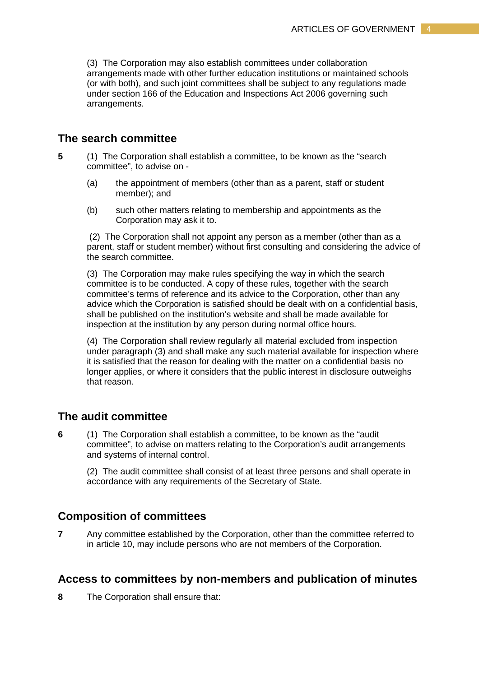(3) The Corporation may also establish committees under collaboration arrangements made with other further education institutions or maintained schools (or with both), and such joint committees shall be subject to any regulations made under section 166 of the Education and Inspections Act 2006 governing such arrangements.

# **The search committee**

- **5** (1) The Corporation shall establish a committee, to be known as the "search committee", to advise on -
	- (a) the appointment of members (other than as a parent, staff or student member); and
	- (b) such other matters relating to membership and appointments as the Corporation may ask it to.

(2) The Corporation shall not appoint any person as a member (other than as a parent, staff or student member) without first consulting and considering the advice of the search committee.

(3) The Corporation may make rules specifying the way in which the search committee is to be conducted. A copy of these rules, together with the search committee's terms of reference and its advice to the Corporation, other than any advice which the Corporation is satisfied should be dealt with on a confidential basis, shall be published on the institution's website and shall be made available for inspection at the institution by any person during normal office hours.

(4) The Corporation shall review regularly all material excluded from inspection under paragraph (3) and shall make any such material available for inspection where it is satisfied that the reason for dealing with the matter on a confidential basis no longer applies, or where it considers that the public interest in disclosure outweighs that reason.

## **The audit committee**

**6** (1)The Corporation shall establish a committee, to be known as the "audit committee", to advise on matters relating to the Corporation's audit arrangements and systems of internal control.

(2) The audit committee shall consist of at least three persons and shall operate in accordance with any requirements of the Secretary of State.

# **Composition of committees**

**7** Any committee established by the Corporation, other than the committee referred to in article 10, may include persons who are not members of the Corporation.

#### **Access to committees by non-members and publication of minutes**

**8** The Corporation shall ensure that: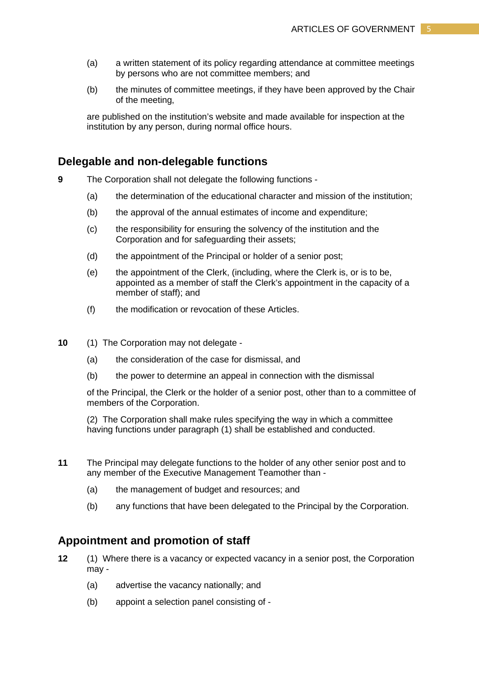- (a) a written statement of its policy regarding attendance at committee meetings by persons who are not committee members; and
- (b) the minutes of committee meetings, if they have been approved by the Chair of the meeting,

are published on the institution's website and made available for inspection at the institution by any person, during normal office hours.

## **Delegable and non-delegable functions**

**9** The Corporation shall not delegate the following functions -

- (a) the determination of the educational character and mission of the institution;
- (b) the approval of the annual estimates of income and expenditure;
- (c) the responsibility for ensuring the solvency of the institution and the Corporation and for safeguarding their assets;
- (d) the appointment of the Principal or holder of a senior post;
- (e) the appointment of the Clerk, (including, where the Clerk is, or is to be, appointed as a member of staff the Clerk's appointment in the capacity of a member of staff); and
- (f) the modification or revocation of these Articles.
- **10** (1) The Corporation may not delegate
	- (a) the consideration of the case for dismissal, and
	- (b) the power to determine an appeal in connection with the dismissal

of the Principal, the Clerk or the holder of a senior post, other than to a committee of members of the Corporation.

(2) The Corporation shall make rules specifying the way in which a committee having functions under paragraph (1) shall be established and conducted.

- **11** The Principal may delegate functions to the holder of any other senior post and to any member of the Executive Management Teamother than -
	- (a) the management of budget and resources; and
	- (b) any functions that have been delegated to the Principal by the Corporation.

## **Appointment and promotion of staff**

- **12** (1)Where there is a vacancy or expected vacancy in a senior post, the Corporation may -
	- (a) advertise the vacancy nationally; and
	- (b) appoint a selection panel consisting of -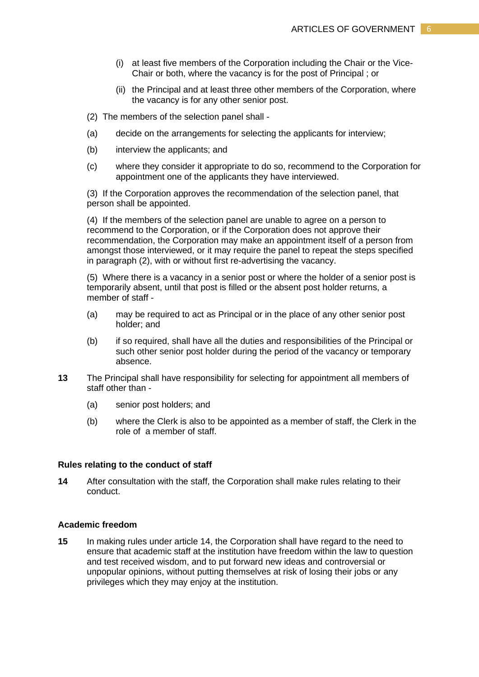- (i) at least five members of the Corporation including the Chair or the Vice-Chair or both, where the vacancy is for the post of Principal ; or
- (ii) the Principal and at least three other members of the Corporation, where the vacancy is for any other senior post.

(2) The members of the selection panel shall -

- (a) decide on the arrangements for selecting the applicants for interview;
- (b) interview the applicants; and
- (c) where they consider it appropriate to do so, recommend to the Corporation for appointment one of the applicants they have interviewed.

(3) If the Corporation approves the recommendation of the selection panel, that person shall be appointed.

(4) If the members of the selection panel are unable to agree on a person to recommend to the Corporation, or if the Corporation does not approve their recommendation, the Corporation may make an appointment itself of a person from amongst those interviewed, or it may require the panel to repeat the steps specified in paragraph (2), with or without first re-advertising the vacancy.

(5) Where there is a vacancy in a senior post or where the holder of a senior post is temporarily absent, until that post is filled or the absent post holder returns, a member of staff -

- (a) may be required to act as Principal or in the place of any other senior post holder; and
- (b) if so required, shall have all the duties and responsibilities of the Principal or such other senior post holder during the period of the vacancy or temporary absence.
- **13** The Principal shall have responsibility for selecting for appointment all members of staff other than -
	- (a) senior post holders; and
	- (b) where the Clerk is also to be appointed as a member of staff, the Clerk in the role of a member of staff.

#### **Rules relating to the conduct of staff**

**14** After consultation with the staff, the Corporation shall make rules relating to their conduct.

#### **Academic freedom**

**15** In making rules under article 14, the Corporation shall have regard to the need to ensure that academic staff at the institution have freedom within the law to question and test received wisdom, and to put forward new ideas and controversial or unpopular opinions, without putting themselves at risk of losing their jobs or any privileges which they may enjoy at the institution.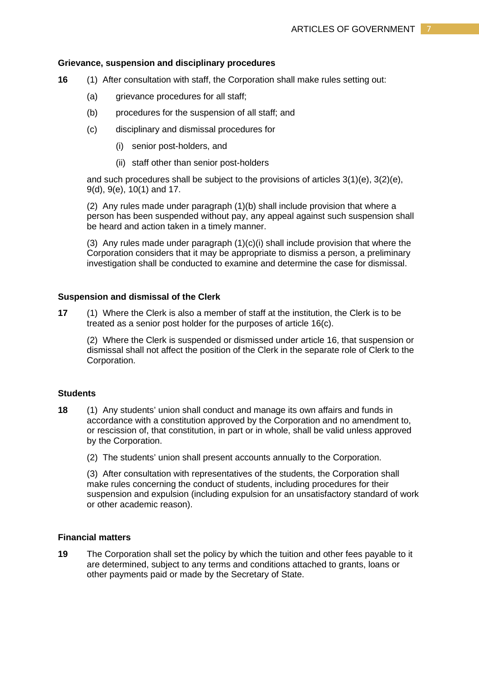#### **Grievance, suspension and disciplinary procedures**

- **16** (1)After consultation with staff, the Corporation shall make rules setting out:
	- (a) grievance procedures for all staff;
	- (b) procedures for the suspension of all staff; and
	- (c) disciplinary and dismissal procedures for
		- (i) senior post-holders, and
		- (ii) staff other than senior post-holders

and such procedures shall be subject to the provisions of articles 3(1)(e), 3(2)(e), 9(d), 9(e), 10(1) and 17.

(2) Any rules made under paragraph (1)(b) shall include provision that where a person has been suspended without pay, any appeal against such suspension shall be heard and action taken in a timely manner.

(3) Any rules made under paragraph (1)(c)(i) shall include provision that where the Corporation considers that it may be appropriate to dismiss a person, a preliminary investigation shall be conducted to examine and determine the case for dismissal.

#### **Suspension and dismissal of the Clerk**

**17** (1)Where the Clerk is also a member of staff at the institution, the Clerk is to be treated as a senior post holder for the purposes of article 16(c).

(2) Where the Clerk is suspended or dismissed under article 16, that suspension or dismissal shall not affect the position of the Clerk in the separate role of Clerk to the Corporation.

### **Students**

- **18** (1) Any students' union shall conduct and manage its own affairs and funds in accordance with a constitution approved by the Corporation and no amendment to, or rescission of, that constitution, in part or in whole, shall be valid unless approved by the Corporation.
	- (2) The students' union shall present accounts annually to the Corporation.

(3) After consultation with representatives of the students, the Corporation shall make rules concerning the conduct of students, including procedures for their suspension and expulsion (including expulsion for an unsatisfactory standard of work or other academic reason).

#### **Financial matters**

**19** The Corporation shall set the policy by which the tuition and other fees payable to it are determined, subject to any terms and conditions attached to grants, loans or other payments paid or made by the Secretary of State.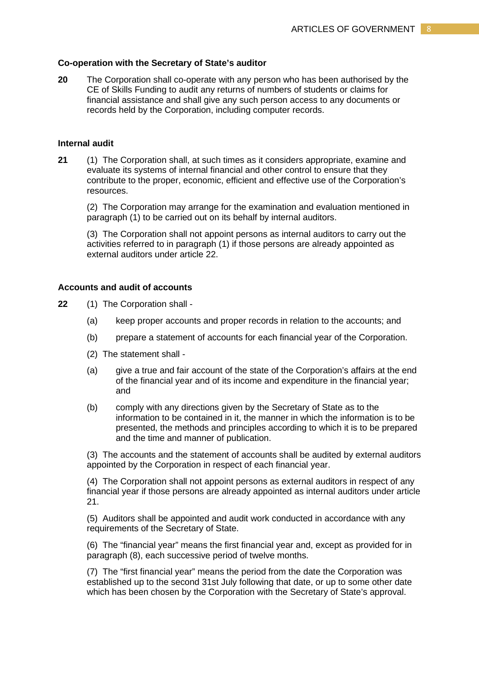#### **Co-operation with the Secretary of State's auditor**

**20** The Corporation shall co-operate with any person who has been authorised by the CE of Skills Funding to audit any returns of numbers of students or claims for financial assistance and shall give any such person access to any documents or records held by the Corporation, including computer records.

#### **Internal audit**

**21** (1) The Corporation shall, at such times as it considers appropriate, examine and evaluate its systems of internal financial and other control to ensure that they contribute to the proper, economic, efficient and effective use of the Corporation's resources.

(2) The Corporation may arrange for the examination and evaluation mentioned in paragraph (1) to be carried out on its behalf by internal auditors.

(3) The Corporation shall not appoint persons as internal auditors to carry out the activities referred to in paragraph (1) if those persons are already appointed as external auditors under article 22.

## **Accounts and audit of accounts**

- **22** (1) The Corporation shall
	- (a) keep proper accounts and proper records in relation to the accounts; and
	- (b) prepare a statement of accounts for each financial year of the Corporation.
	- (2) The statement shall -
	- (a) give a true and fair account of the state of the Corporation's affairs at the end of the financial year and of its income and expenditure in the financial year; and
	- (b) comply with any directions given by the Secretary of State as to the information to be contained in it, the manner in which the information is to be presented, the methods and principles according to which it is to be prepared and the time and manner of publication.

(3) The accounts and the statement of accounts shall be audited by external auditors appointed by the Corporation in respect of each financial year.

(4) The Corporation shall not appoint persons as external auditors in respect of any financial year if those persons are already appointed as internal auditors under article 21.

(5) Auditors shall be appointed and audit work conducted in accordance with any requirements of the Secretary of State.

(6) The "financial year" means the first financial year and, except as provided for in paragraph (8), each successive period of twelve months.

(7) The "first financial year" means the period from the date the Corporation was established up to the second 31st July following that date, or up to some other date which has been chosen by the Corporation with the Secretary of State's approval.